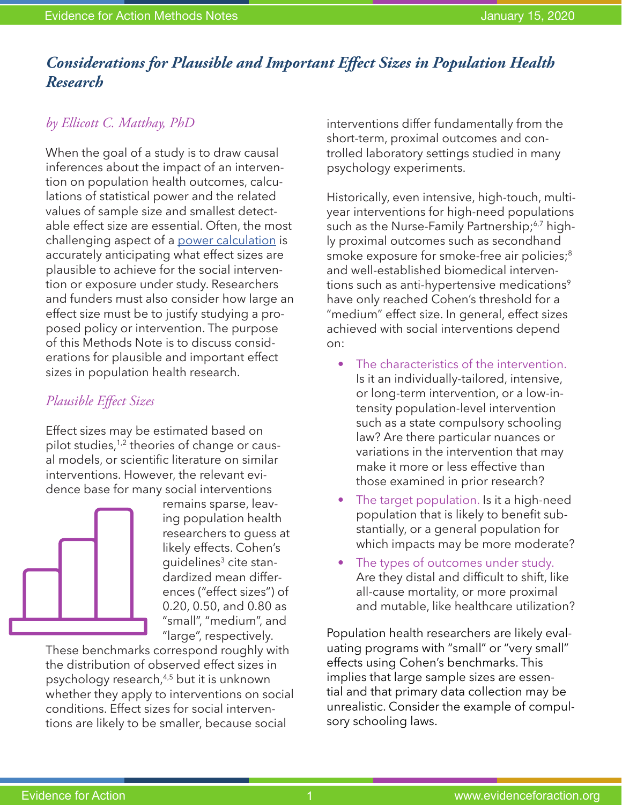# *Considerations for Plausible and Important Effect Sizes in Population Health Research*

### *by Ellicott C. Matthay, PhD*

When the goal of a study is to draw causal inferences about the impact of an intervention on population health outcomes, calculations of statistical power and the related values of sample size and smallest detectable effect size are essential. Often, the most challenging aspect of a [power calculation](https://www.evidenceforaction.org/sites/default/files/E4A-Methods-Note-Power-Calculations.pdf) is accurately anticipating what effect sizes are plausible to achieve for the social intervention or exposure under study. Researchers and funders must also consider how large an effect size must be to justify studying a proposed policy or intervention. The purpose of this Methods Note is to discuss considerations for plausible and important effect sizes in population health research.

### *Plausible Effect Sizes*

Effect sizes may be estimated based on pilot studies,<sup>1,2</sup> theories of change or causal models, or scientific literature on similar interventions. However, the relevant evidence base for many social interventions



remains sparse, leaving population health researchers to guess at likely effects. Cohen's guidelines<sup>3</sup> cite standardized mean differences ("effect sizes") of 0.20, 0.50, and 0.80 as "small", "medium", and "large", respectively.

These benchmarks correspond roughly with the distribution of observed effect sizes in psychology research,4,5 but it is unknown whether they apply to interventions on social conditions. Effect sizes for social interventions are likely to be smaller, because social

interventions differ fundamentally from the short-term, proximal outcomes and controlled laboratory settings studied in many psychology experiments.

Historically, even intensive, high-touch, multiyear interventions for high-need populations such as the Nurse-Family Partnership;<sup>6,7</sup> highly proximal outcomes such as secondhand smoke exposure for smoke-free air policies;<sup>8</sup> and well-established biomedical interventions such as anti-hypertensive medications<sup>9</sup> have only reached Cohen's threshold for a "medium" effect size. In general, effect sizes achieved with social interventions depend on:

- The characteristics of the intervention. Is it an individually-tailored, intensive, or long-term intervention, or a low-intensity population-level intervention such as a state compulsory schooling law? Are there particular nuances or variations in the intervention that may make it more or less effective than those examined in prior research?
- The target population. Is it a high-need population that is likely to benefit substantially, or a general population for which impacts may be more moderate?
- The types of outcomes under study. Are they distal and difficult to shift, like all-cause mortality, or more proximal and mutable, like healthcare utilization?

Population health researchers are likely evaluating programs with "small" or "very small" effects using Cohen's benchmarks. This implies that large sample sizes are essential and that primary data collection may be unrealistic. Consider the example of compulsory schooling laws.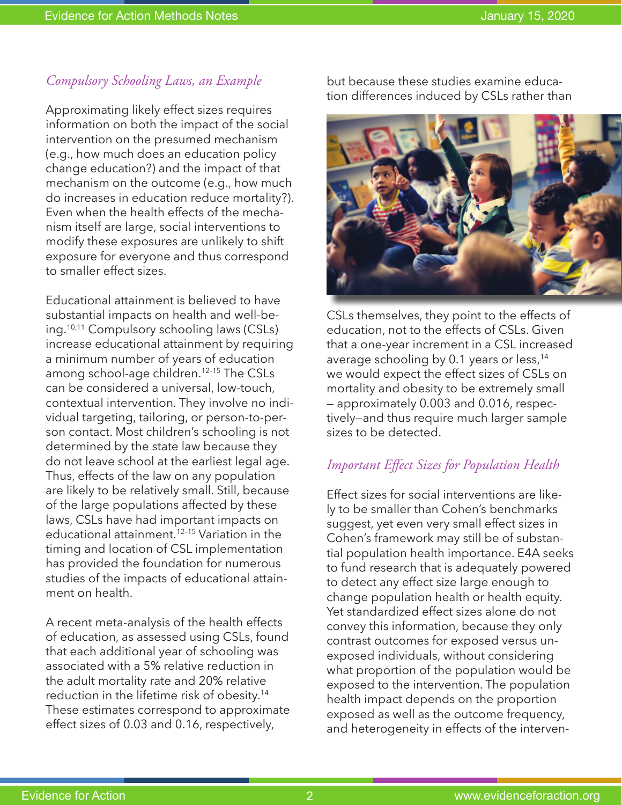## *Compulsory Schooling Laws, an Example*

Approximating likely effect sizes requires information on both the impact of the social intervention on the presumed mechanism (e.g., how much does an education policy change education?) and the impact of that mechanism on the outcome (e.g., how much do increases in education reduce mortality?). Even when the health effects of the mechanism itself are large, social interventions to modify these exposures are unlikely to shift exposure for everyone and thus correspond to smaller effect sizes.

Educational attainment is believed to have substantial impacts on health and well-being.10,11 Compulsory schooling laws (CSLs) increase educational attainment by requiring a minimum number of years of education among school-age children.12–15 The CSLs can be considered a universal, low-touch, contextual intervention. They involve no individual targeting, tailoring, or person-to-person contact. Most children's schooling is not determined by the state law because they do not leave school at the earliest legal age. Thus, effects of the law on any population are likely to be relatively small. Still, because of the large populations affected by these laws, CSLs have had important impacts on educational attainment.12–15 Variation in the timing and location of CSL implementation has provided the foundation for numerous studies of the impacts of educational attainment on health.

A recent meta-analysis of the health effects of education, as assessed using CSLs, found that each additional year of schooling was associated with a 5% relative reduction in the adult mortality rate and 20% relative reduction in the lifetime risk of obesity.14 These estimates correspond to approximate effect sizes of 0.03 and 0.16, respectively,

but because these studies examine education differences induced by CSLs rather than



CSLs themselves, they point to the effects of education, not to the effects of CSLs. Given that a one-year increment in a CSL increased average schooling by 0.1 years or less,<sup>14</sup> we would expect the effect sizes of CSLs on mortality and obesity to be extremely small — approximately 0.003 and 0.016, respectively—and thus require much larger sample sizes to be detected.

## *Important Effect Sizes for Population Health*

Effect sizes for social interventions are likely to be smaller than Cohen's benchmarks suggest, yet even very small effect sizes in Cohen's framework may still be of substantial population health importance. E4A seeks to fund research that is adequately powered to detect any effect size large enough to change population health or health equity. Yet standardized effect sizes alone do not convey this information, because they only contrast outcomes for exposed versus unexposed individuals, without considering what proportion of the population would be exposed to the intervention. The population health impact depends on the proportion exposed as well as the outcome frequency, and heterogeneity in effects of the interven